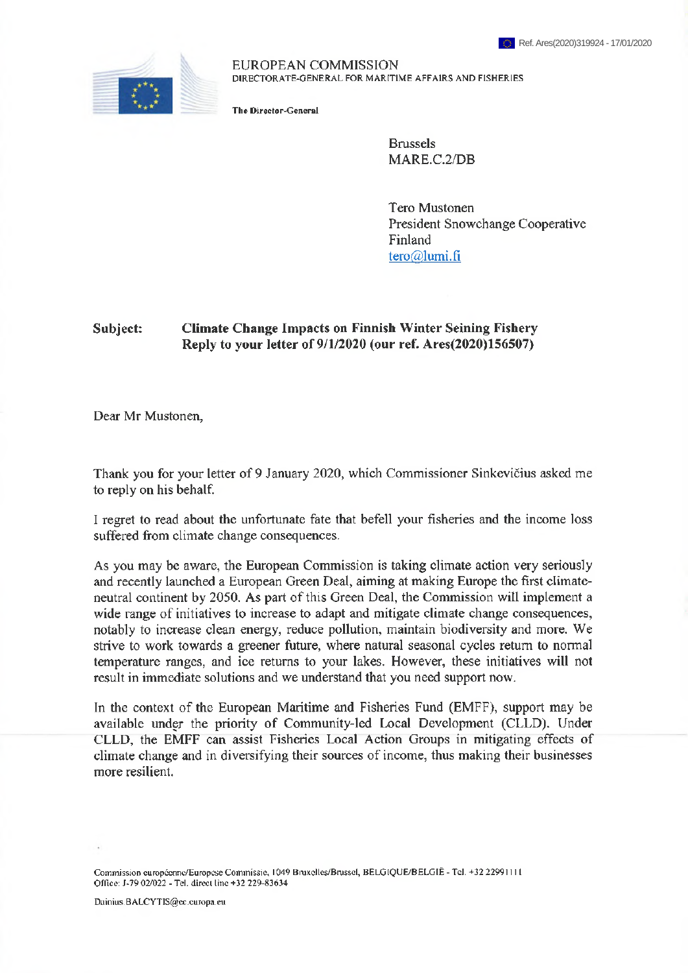

EUROPEAN COMMISSION DIRECTORATE-GENERAL FOR MARITIME AFFAIRS AND FISHERIES

The Director-General

Brussels MARE.C.2/DB

Tero Mustonen President Snowchange Cooperative Finland [tero@lumi.fi](mailto:tero@lumi.fi)

## **Subject: Climate Change Impacts on Finnish Winter Seining Fishery Reply to your letter of 9/1/2020 (our ref. Ares(2020)156507)**

Dear Mr Mustonen,

Thank you for your letter of 9 January 2020, which Commissioner Sinkevičius asked me to reply on his behalf.

I regret to read about the unfortunate fate that befell your fisheries and the income loss suffered from climate change consequences.

As you may be aware, the European Commission is taking climate action very seriously and recently launched a European Green Deal, aiming at making Europe the first climateneutral continent by 2050. As part of this Green Deal, the Commission will implement a wide range of initiatives to increase to adapt and mitigate climate change consequences, notably to increase clean energy, reduce pollution, maintain biodiversity and more. We strive to work towards a greener future, where natural seasonal cycles return to normal temperature ranges, and ice returns to your lakes. However, these initiatives will not result in immediate solutions and we understand that you need support now.

In the context of the European Maritime and Fisheries Fund (EMFF), support may be available under the priority of Community-led Local Development (CLLD). Under CLLD, the EMFF can assist Fisheries Local Action Groups in mitigating effects of climate change and in diversifying their sources of income, thus making their businesses more resilient.

Commission curapćcnnc/Europcse Commissie, 1049 Bruxellcs/Brussel, BELGIQUE/BELGIË - Tel. +32 22991111 Office: J-79 02/022 - Tel. direct line +32 229-83634

Dainius.BALCYTIS@cc. europa.eu